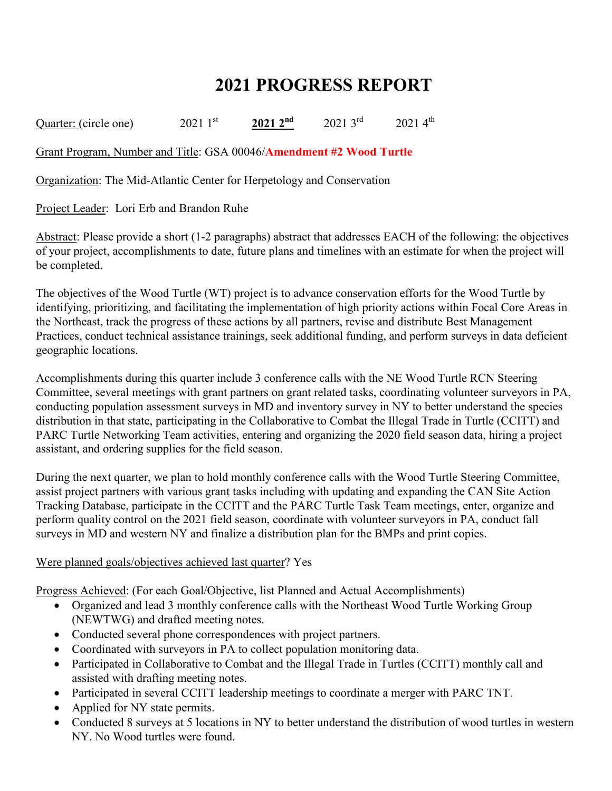## **2021 PROGRESS REPORT**

Quarter: (circle one) 2021 1<sup>st</sup> 2021 2<sup>nd</sup> 2021 3<sup>rd</sup> 2021 4<sup>th</sup>

Grant Program, Number and Title: GSA 00046/**Amendment #2 Wood Turtle**

Organization: The Mid-Atlantic Center for Herpetology and Conservation

Project Leader: Lori Erb and Brandon Ruhe

Abstract: Please provide a short (1-2 paragraphs) abstract that addresses EACH of the following: the objectives of your project, accomplishments to date, future plans and timelines with an estimate for when the project will be completed.

The objectives of the Wood Turtle (WT) project is to advance conservation efforts for the Wood Turtle by identifying, prioritizing, and facilitating the implementation of high priority actions within Focal Core Areas in the Northeast, track the progress of these actions by all partners, revise and distribute Best Management Practices, conduct technical assistance trainings, seek additional funding, and perform surveys in data deficient geographic locations.

Accomplishments during this quarter include 3 conference calls with the NE Wood Turtle RCN Steering Committee, several meetings with grant partners on grant related tasks, coordinating volunteer surveyors in PA, conducting population assessment surveys in MD and inventory survey in NY to better understand the species distribution in that state, participating in the Collaborative to Combat the Illegal Trade in Turtle (CCITT) and PARC Turtle Networking Team activities, entering and organizing the 2020 field season data, hiring a project assistant, and ordering supplies for the field season.

During the next quarter, we plan to hold monthly conference calls with the Wood Turtle Steering Committee, assist project partners with various grant tasks including with updating and expanding the CAN Site Action Tracking Database, participate in the CCITT and the PARC Turtle Task Team meetings, enter, organize and perform quality control on the 2021 field season, coordinate with volunteer surveyors in PA, conduct fall surveys in MD and western NY and finalize a distribution plan for the BMPs and print copies.

## Were planned goals/objectives achieved last quarter? Yes

Progress Achieved: (For each Goal/Objective, list Planned and Actual Accomplishments)

- Organized and lead 3 monthly conference calls with the Northeast Wood Turtle Working Group (NEWTWG) and drafted meeting notes.
- Conducted several phone correspondences with project partners.
- Coordinated with surveyors in PA to collect population monitoring data.
- Participated in Collaborative to Combat and the Illegal Trade in Turtles (CCITT) monthly call and assisted with drafting meeting notes.
- Participated in several CCITT leadership meetings to coordinate a merger with PARC TNT.
- Applied for NY state permits.
- Conducted 8 surveys at 5 locations in NY to better understand the distribution of wood turtles in western NY. No Wood turtles were found.